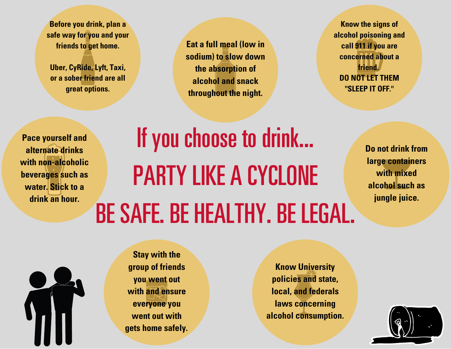**Before you drink, plan a safe way for you and your friends to get home.**

**Uber, CyRide, Lyft, Taxi, or a sober friend are all great options.**

**Eat a full meal (low in sodium) to slow down the absorption of alcohol and snack throughout the night.**

**Know the signs of alcohol poisoning and call 911 if you are concerned about a friend. DO NOT LET THEM "SLEEP IT OFF."**

**Pace yourself and alternate drinks with non-alcoholic beverages such as water. Stick to a drink an hour.**

#### If you choose to drink... PARTY LIKE A CYCLONE BE SAFE. BE HEALTHY. BE LEGAL.

**Do not drink from large containers with mixed alcohol such as jungle juice.**



**Stay with the group of friends you went out with and ensure everyone you went out with gets home safely.**

**Know University policies and state, local, and federals laws concerning alcohol consumption.**

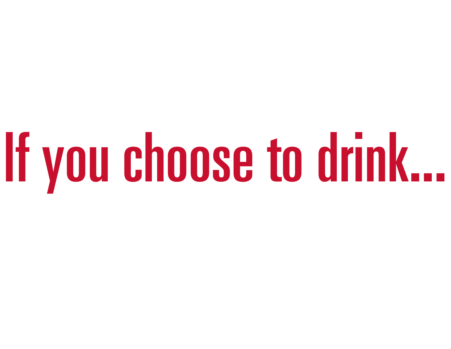#### If you choose to drink...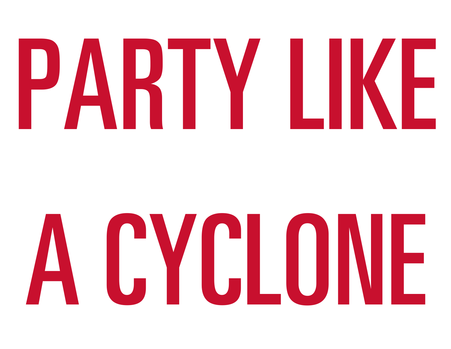

# A CYCLONE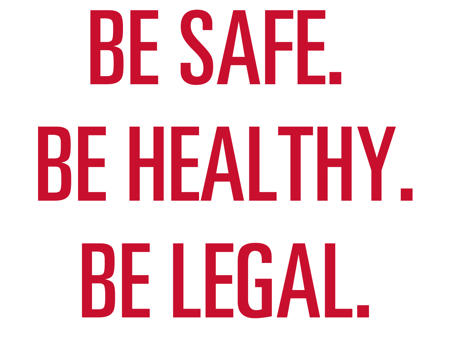## BE SAFE.

### BE HEALTHY.

### BE LEGAL.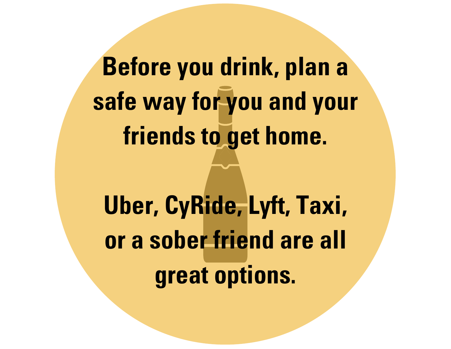**Before you drink, plan a safe way for you and your friends to get home.**

**Uber, CyRide, Lyft, Taxi, or a sober friend are all great options.**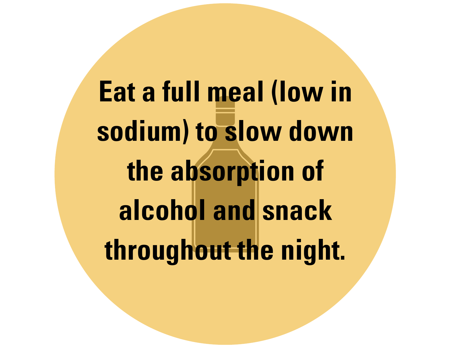**Eat a full meal (low in sodium) to slow down the absorption of alcohol and snack throughout the night.**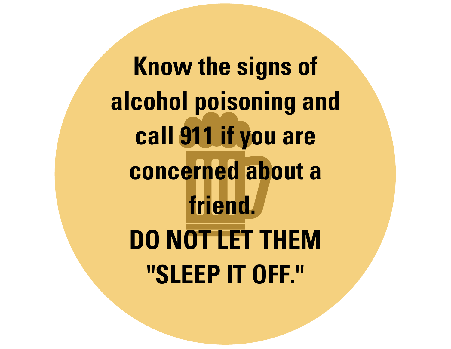**Know the signs of alcohol poisoning and call 911 if you are concerned about a friend. DO NOT LET THEM "SLEEP IT OFF. "**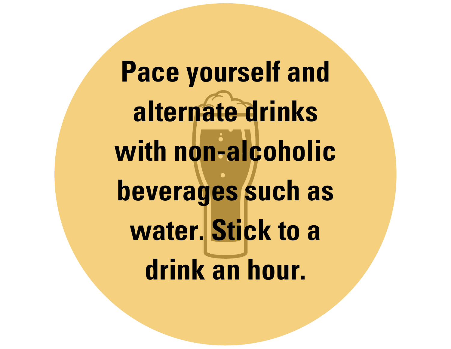**Pace yourself and alternate drinks with non-alcoholic beverages such as water. Stick to a drink an hour.**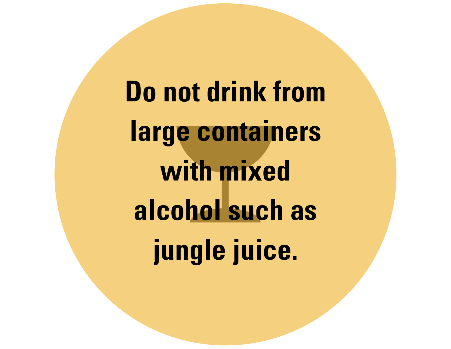**Do not drink from large containers with mixed alcohol such as jungle juice.**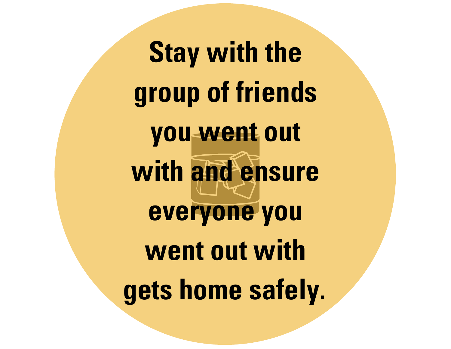**Stay with the group of friends you went out with and ensure everyone you went out with gets home safely.**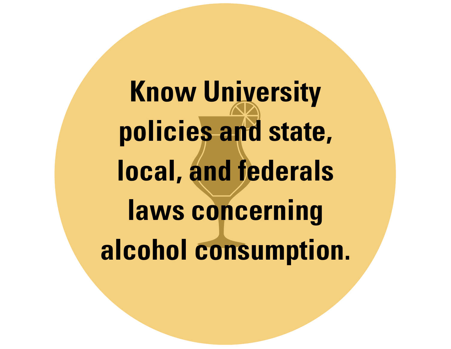**Know University policies and state, local, and federals laws concerning alcohol consumption.**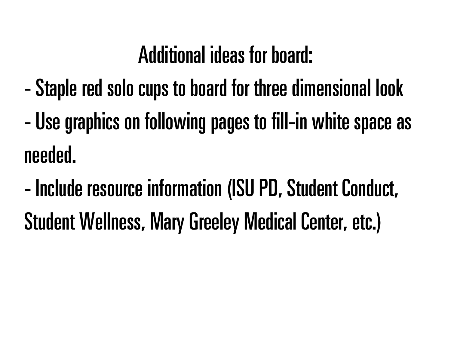#### Additional ideas for board:

- Staple red solo cups to board for three dimensional look
- Use graphics on following pages to fill-in white space as needed.
- Include resource information (ISU PD, Student Conduct, Student Wellness, Mary Greeley Medical Center, etc.)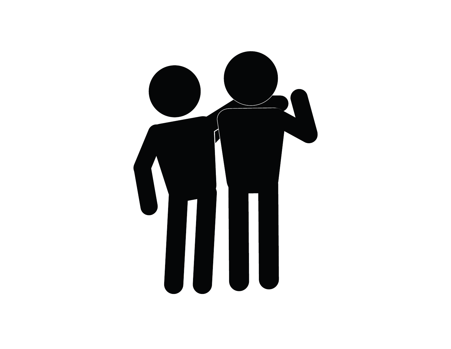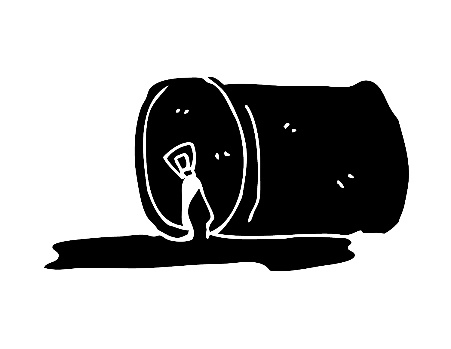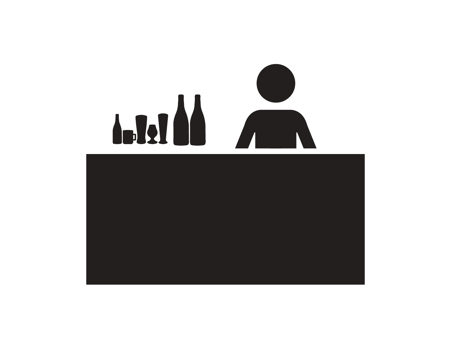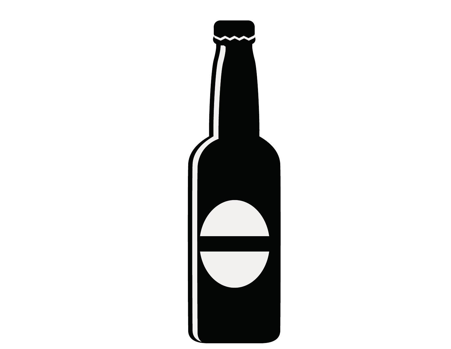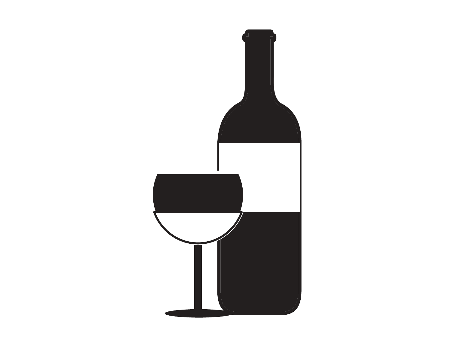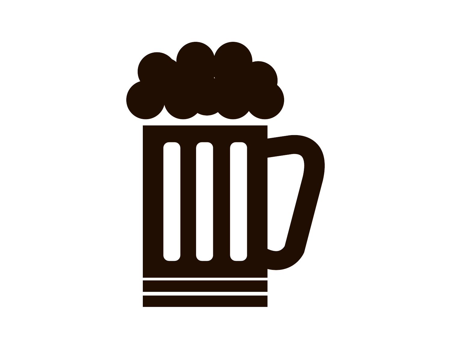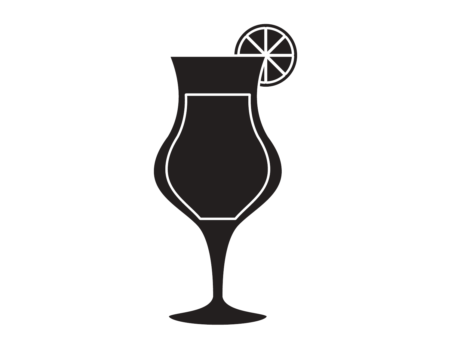